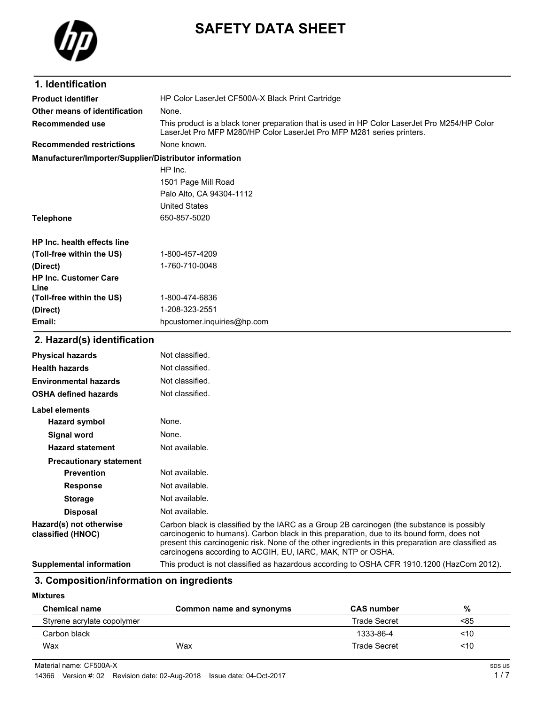

# **SAFETY DATA SHEET**

| 1. Identification                                      |                                                                                                                                                                                                                                                                                                                                                                |  |
|--------------------------------------------------------|----------------------------------------------------------------------------------------------------------------------------------------------------------------------------------------------------------------------------------------------------------------------------------------------------------------------------------------------------------------|--|
| <b>Product identifier</b>                              | HP Color LaserJet CF500A-X Black Print Cartridge                                                                                                                                                                                                                                                                                                               |  |
| Other means of identification                          | None.                                                                                                                                                                                                                                                                                                                                                          |  |
| Recommended use                                        | This product is a black toner preparation that is used in HP Color LaserJet Pro M254/HP Color<br>LaserJet Pro MFP M280/HP Color LaserJet Pro MFP M281 series printers.                                                                                                                                                                                         |  |
| <b>Recommended restrictions</b>                        | None known.                                                                                                                                                                                                                                                                                                                                                    |  |
| Manufacturer/Importer/Supplier/Distributor information |                                                                                                                                                                                                                                                                                                                                                                |  |
|                                                        | HP Inc.                                                                                                                                                                                                                                                                                                                                                        |  |
|                                                        | 1501 Page Mill Road                                                                                                                                                                                                                                                                                                                                            |  |
|                                                        | Palo Alto, CA 94304-1112                                                                                                                                                                                                                                                                                                                                       |  |
|                                                        | <b>United States</b>                                                                                                                                                                                                                                                                                                                                           |  |
| <b>Telephone</b>                                       | 650-857-5020                                                                                                                                                                                                                                                                                                                                                   |  |
| <b>HP Inc. health effects line</b>                     |                                                                                                                                                                                                                                                                                                                                                                |  |
| (Toll-free within the US)                              | 1-800-457-4209                                                                                                                                                                                                                                                                                                                                                 |  |
| (Direct)                                               | 1-760-710-0048                                                                                                                                                                                                                                                                                                                                                 |  |
| <b>HP Inc. Customer Care</b><br>Line                   |                                                                                                                                                                                                                                                                                                                                                                |  |
| (Toll-free within the US)                              | 1-800-474-6836                                                                                                                                                                                                                                                                                                                                                 |  |
| (Direct)                                               | 1-208-323-2551                                                                                                                                                                                                                                                                                                                                                 |  |
| Email:                                                 | hpcustomer.inquiries@hp.com                                                                                                                                                                                                                                                                                                                                    |  |
| 2. Hazard(s) identification                            |                                                                                                                                                                                                                                                                                                                                                                |  |
| <b>Physical hazards</b>                                | Not classified.                                                                                                                                                                                                                                                                                                                                                |  |
| <b>Health hazards</b>                                  | Not classified.                                                                                                                                                                                                                                                                                                                                                |  |
| <b>Environmental hazards</b>                           | Not classified.                                                                                                                                                                                                                                                                                                                                                |  |
| <b>OSHA defined hazards</b>                            | Not classified.                                                                                                                                                                                                                                                                                                                                                |  |
| <b>Label elements</b>                                  |                                                                                                                                                                                                                                                                                                                                                                |  |
| <b>Hazard symbol</b>                                   | None.                                                                                                                                                                                                                                                                                                                                                          |  |
| <b>Signal word</b>                                     | None.                                                                                                                                                                                                                                                                                                                                                          |  |
| <b>Hazard statement</b>                                | Not available.                                                                                                                                                                                                                                                                                                                                                 |  |
| <b>Precautionary statement</b>                         |                                                                                                                                                                                                                                                                                                                                                                |  |
| Prevention                                             | Not available.                                                                                                                                                                                                                                                                                                                                                 |  |
| <b>Response</b>                                        | Not available.                                                                                                                                                                                                                                                                                                                                                 |  |
| <b>Storage</b>                                         | Not available.                                                                                                                                                                                                                                                                                                                                                 |  |
| <b>Disposal</b>                                        | Not available.                                                                                                                                                                                                                                                                                                                                                 |  |
| Hazard(s) not otherwise<br>classified (HNOC)           | Carbon black is classified by the IARC as a Group 2B carcinogen (the substance is possibly<br>carcinogenic to humans). Carbon black in this preparation, due to its bound form, does not<br>present this carcinogenic risk. None of the other ingredients in this preparation are classified as<br>carcinogens according to ACGIH, EU, IARC, MAK, NTP or OSHA. |  |
| <b>Supplemental information</b>                        | This product is not classified as hazardous according to OSHA CFR 1910.1200 (HazCom 2012).                                                                                                                                                                                                                                                                     |  |

## **3. Composition/information on ingredients**

#### **Mixtures**

| <b>Chemical name</b>       | Common name and synonyms | <b>CAS number</b>   | %   |
|----------------------------|--------------------------|---------------------|-----|
| Styrene acrylate copolymer |                          | Trade Secret        | <85 |
| Carbon black               |                          | 1333-86-4           | <10 |
| Wax                        | Wax                      | <b>Trade Secret</b> | ~10 |

Material name: CF500A-X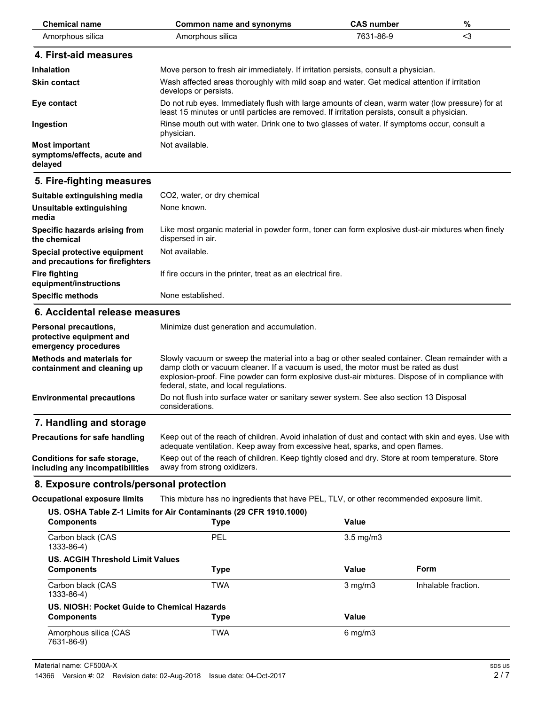| <b>Chemical name</b>                                                      | <b>Common name and synonyms</b>                                                                                                                                                                                                                                                                                                      | <b>CAS number</b> | $\%$ |
|---------------------------------------------------------------------------|--------------------------------------------------------------------------------------------------------------------------------------------------------------------------------------------------------------------------------------------------------------------------------------------------------------------------------------|-------------------|------|
| Amorphous silica                                                          | Amorphous silica                                                                                                                                                                                                                                                                                                                     | 7631-86-9         | $3$  |
| 4. First-aid measures                                                     |                                                                                                                                                                                                                                                                                                                                      |                   |      |
| <b>Inhalation</b>                                                         | Move person to fresh air immediately. If irritation persists, consult a physician.                                                                                                                                                                                                                                                   |                   |      |
| <b>Skin contact</b>                                                       | Wash affected areas thoroughly with mild soap and water. Get medical attention if irritation<br>develops or persists.                                                                                                                                                                                                                |                   |      |
| Eye contact                                                               | Do not rub eyes. Immediately flush with large amounts of clean, warm water (low pressure) for at<br>least 15 minutes or until particles are removed. If irritation persists, consult a physician.                                                                                                                                    |                   |      |
| Ingestion                                                                 | Rinse mouth out with water. Drink one to two glasses of water. If symptoms occur, consult a<br>physician.                                                                                                                                                                                                                            |                   |      |
| <b>Most important</b><br>symptoms/effects, acute and<br>delayed           | Not available.                                                                                                                                                                                                                                                                                                                       |                   |      |
| 5. Fire-fighting measures                                                 |                                                                                                                                                                                                                                                                                                                                      |                   |      |
| Suitable extinguishing media                                              | CO2, water, or dry chemical                                                                                                                                                                                                                                                                                                          |                   |      |
| Unsuitable extinguishing<br>media                                         | None known.                                                                                                                                                                                                                                                                                                                          |                   |      |
| Specific hazards arising from<br>the chemical                             | Like most organic material in powder form, toner can form explosive dust-air mixtures when finely<br>dispersed in air.                                                                                                                                                                                                               |                   |      |
| Special protective equipment<br>and precautions for firefighters          | Not available.                                                                                                                                                                                                                                                                                                                       |                   |      |
| <b>Fire fighting</b><br>equipment/instructions                            | If fire occurs in the printer, treat as an electrical fire.                                                                                                                                                                                                                                                                          |                   |      |
| <b>Specific methods</b>                                                   | None established.                                                                                                                                                                                                                                                                                                                    |                   |      |
| 6. Accidental release measures                                            |                                                                                                                                                                                                                                                                                                                                      |                   |      |
| Personal precautions,<br>protective equipment and<br>emergency procedures | Minimize dust generation and accumulation.                                                                                                                                                                                                                                                                                           |                   |      |
| <b>Methods and materials for</b><br>containment and cleaning up           | Slowly vacuum or sweep the material into a bag or other sealed container. Clean remainder with a<br>damp cloth or vacuum cleaner. If a vacuum is used, the motor must be rated as dust<br>explosion-proof. Fine powder can form explosive dust-air mixtures. Dispose of in compliance with<br>federal, state, and local regulations. |                   |      |
| <b>Environmental precautions</b>                                          | Do not flush into surface water or sanitary sewer system. See also section 13 Disposal<br>considerations.                                                                                                                                                                                                                            |                   |      |
| 7. Handling and storage                                                   |                                                                                                                                                                                                                                                                                                                                      |                   |      |
| <b>Precautions for safe handling</b>                                      | Keep out of the reach of children. Avoid inhalation of dust and contact with skin and eyes. Use with<br>adequate ventilation. Keep away from excessive heat, sparks, and open flames.                                                                                                                                                |                   |      |
| Conditions for safe storage,<br>including any incompatibilities           | Keep out of the reach of children. Keep tightly closed and dry. Store at room temperature. Store<br>away from strong oxidizers.                                                                                                                                                                                                      |                   |      |
| 8. Exposure controls/personal protection                                  |                                                                                                                                                                                                                                                                                                                                      |                   |      |
| <b>Occupational exposure limits</b>                                       | This mixture has no ingredients that have PEL, TLV, or other recommended exposure limit.                                                                                                                                                                                                                                             |                   |      |
|                                                                           | US. OSHA Table Z-1 Limits for Air Contaminants (29 CFR 1910.1000)                                                                                                                                                                                                                                                                    |                   |      |

| <b>Components</b>                           | <b>Type</b> | Value              |                     |
|---------------------------------------------|-------------|--------------------|---------------------|
| Carbon black (CAS<br>1333-86-4)             | PEL         | $3.5 \text{ mg/m}$ |                     |
| US. ACGIH Threshold Limit Values            |             |                    |                     |
| <b>Components</b>                           | <b>Type</b> | Value              | <b>Form</b>         |
| Carbon black (CAS<br>1333-86-4)             | <b>TWA</b>  | $3$ mg/m $3$       | Inhalable fraction. |
| US. NIOSH: Pocket Guide to Chemical Hazards |             |                    |                     |
| <b>Components</b>                           | <b>Type</b> | Value              |                     |
| Amorphous silica (CAS<br>7631-86-9)         | <b>TWA</b>  | $6$ mg/m $3$       |                     |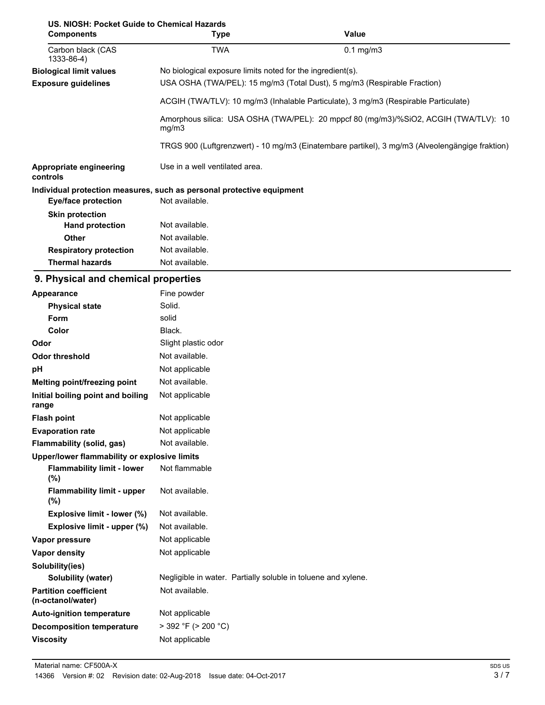| US. NIOSH: Pocket Guide to Chemical Hazards |                                                                       |                                                                                                |  |  |
|---------------------------------------------|-----------------------------------------------------------------------|------------------------------------------------------------------------------------------------|--|--|
| <b>Components</b>                           | Type                                                                  | Value                                                                                          |  |  |
| Carbon black (CAS<br>1333-86-4)             | <b>TWA</b>                                                            | $0.1$ mg/m $3$                                                                                 |  |  |
| <b>Biological limit values</b>              | No biological exposure limits noted for the ingredient(s).            |                                                                                                |  |  |
| <b>Exposure guidelines</b>                  |                                                                       | USA OSHA (TWA/PEL): 15 mg/m3 (Total Dust), 5 mg/m3 (Respirable Fraction)                       |  |  |
|                                             |                                                                       | ACGIH (TWA/TLV): 10 mg/m3 (Inhalable Particulate), 3 mg/m3 (Respirable Particulate)            |  |  |
|                                             | mg/m3                                                                 | Amorphous silica: USA OSHA (TWA/PEL): 20 mppcf 80 (mg/m3)/%SiO2, ACGIH (TWA/TLV): 10           |  |  |
|                                             |                                                                       | TRGS 900 (Luftgrenzwert) - 10 mg/m3 (Einatembare partikel), 3 mg/m3 (Alveolengängige fraktion) |  |  |
| Appropriate engineering<br>controls         | Use in a well ventilated area.                                        |                                                                                                |  |  |
|                                             | Individual protection measures, such as personal protective equipment |                                                                                                |  |  |
| <b>Eye/face protection</b>                  | Not available.                                                        |                                                                                                |  |  |
| <b>Skin protection</b>                      |                                                                       |                                                                                                |  |  |
| <b>Hand protection</b>                      | Not available.                                                        |                                                                                                |  |  |
| Other                                       | Not available.                                                        |                                                                                                |  |  |
| <b>Respiratory protection</b>               | Not available.                                                        |                                                                                                |  |  |
| <b>Thermal hazards</b>                      | Not available.                                                        |                                                                                                |  |  |

### **9. Physical and chemical properties**

| Appearance                                        | Fine powder                                                   |  |  |
|---------------------------------------------------|---------------------------------------------------------------|--|--|
| <b>Physical state</b>                             | Solid.                                                        |  |  |
| <b>Form</b>                                       | solid                                                         |  |  |
| Color                                             | Black.                                                        |  |  |
| Odor                                              | Slight plastic odor                                           |  |  |
| <b>Odor threshold</b>                             | Not available.                                                |  |  |
| pH                                                | Not applicable                                                |  |  |
| Melting point/freezing point                      | Not available.                                                |  |  |
| Initial boiling point and boiling                 | Not applicable                                                |  |  |
| range                                             |                                                               |  |  |
| <b>Flash point</b>                                | Not applicable                                                |  |  |
| <b>Evaporation rate</b>                           | Not applicable                                                |  |  |
| Flammability (solid, gas)                         | Not available.                                                |  |  |
| Upper/lower flammability or explosive limits      |                                                               |  |  |
| <b>Flammability limit - lower</b><br>(%)          | Not flammable                                                 |  |  |
| <b>Flammability limit - upper</b><br>(%)          | Not available.                                                |  |  |
| Explosive limit - lower (%)                       | Not available.                                                |  |  |
| Explosive limit - upper (%)                       | Not available.                                                |  |  |
| Vapor pressure                                    | Not applicable                                                |  |  |
| <b>Vapor density</b>                              | Not applicable                                                |  |  |
| Solubility(ies)                                   |                                                               |  |  |
| Solubility (water)                                | Negligible in water. Partially soluble in toluene and xylene. |  |  |
| <b>Partition coefficient</b><br>(n-octanol/water) | Not available.                                                |  |  |
| <b>Auto-ignition temperature</b>                  | Not applicable                                                |  |  |
| <b>Decomposition temperature</b>                  | $>$ 392 °F ( $>$ 200 °C)                                      |  |  |
| <b>Viscosity</b>                                  | Not applicable                                                |  |  |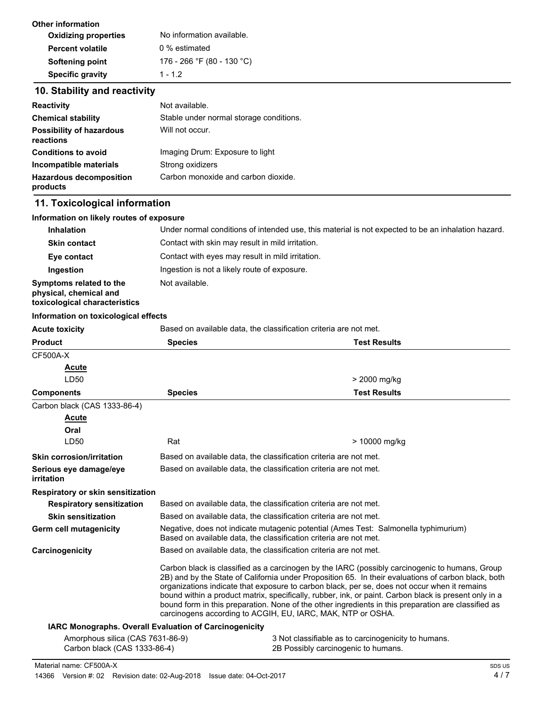| No information available.  |
|----------------------------|
| 0 % estimated              |
| 176 - 266 °F (80 - 130 °C) |
| $1 - 1.2$                  |
|                            |

# **10. Stability and reactivity**

| <b>Reactivity</b>                            | Not available.                          |  |
|----------------------------------------------|-----------------------------------------|--|
| <b>Chemical stability</b>                    | Stable under normal storage conditions. |  |
| <b>Possibility of hazardous</b><br>reactions | Will not occur.                         |  |
| <b>Conditions to avoid</b>                   | Imaging Drum: Exposure to light         |  |
| Incompatible materials                       | Strong oxidizers                        |  |
| <b>Hazardous decomposition</b><br>products   | Carbon monoxide and carbon dioxide.     |  |

# **11. Toxicological information**

| Information on likely routes of exposure                                           |                                                                                                                                                                |                                                                                                                                                                                                                                                                                                                                                                                                                                                                                                                                                                                      |  |
|------------------------------------------------------------------------------------|----------------------------------------------------------------------------------------------------------------------------------------------------------------|--------------------------------------------------------------------------------------------------------------------------------------------------------------------------------------------------------------------------------------------------------------------------------------------------------------------------------------------------------------------------------------------------------------------------------------------------------------------------------------------------------------------------------------------------------------------------------------|--|
| <b>Inhalation</b>                                                                  | Under normal conditions of intended use, this material is not expected to be an inhalation hazard.                                                             |                                                                                                                                                                                                                                                                                                                                                                                                                                                                                                                                                                                      |  |
| <b>Skin contact</b>                                                                | Contact with skin may result in mild irritation.                                                                                                               |                                                                                                                                                                                                                                                                                                                                                                                                                                                                                                                                                                                      |  |
| Eye contact                                                                        | Contact with eyes may result in mild irritation.                                                                                                               |                                                                                                                                                                                                                                                                                                                                                                                                                                                                                                                                                                                      |  |
| Ingestion                                                                          | Ingestion is not a likely route of exposure.                                                                                                                   |                                                                                                                                                                                                                                                                                                                                                                                                                                                                                                                                                                                      |  |
| Symptoms related to the<br>physical, chemical and<br>toxicological characteristics | Not available.                                                                                                                                                 |                                                                                                                                                                                                                                                                                                                                                                                                                                                                                                                                                                                      |  |
| Information on toxicological effects                                               |                                                                                                                                                                |                                                                                                                                                                                                                                                                                                                                                                                                                                                                                                                                                                                      |  |
| <b>Acute toxicity</b>                                                              |                                                                                                                                                                | Based on available data, the classification criteria are not met.                                                                                                                                                                                                                                                                                                                                                                                                                                                                                                                    |  |
| <b>Product</b>                                                                     | <b>Species</b>                                                                                                                                                 | <b>Test Results</b>                                                                                                                                                                                                                                                                                                                                                                                                                                                                                                                                                                  |  |
| CF500A-X                                                                           |                                                                                                                                                                |                                                                                                                                                                                                                                                                                                                                                                                                                                                                                                                                                                                      |  |
| <b>Acute</b>                                                                       |                                                                                                                                                                |                                                                                                                                                                                                                                                                                                                                                                                                                                                                                                                                                                                      |  |
| LD50                                                                               |                                                                                                                                                                | > 2000 mg/kg                                                                                                                                                                                                                                                                                                                                                                                                                                                                                                                                                                         |  |
| <b>Components</b>                                                                  | <b>Species</b>                                                                                                                                                 | <b>Test Results</b>                                                                                                                                                                                                                                                                                                                                                                                                                                                                                                                                                                  |  |
| Carbon black (CAS 1333-86-4)                                                       |                                                                                                                                                                |                                                                                                                                                                                                                                                                                                                                                                                                                                                                                                                                                                                      |  |
| Acute                                                                              |                                                                                                                                                                |                                                                                                                                                                                                                                                                                                                                                                                                                                                                                                                                                                                      |  |
| Oral                                                                               |                                                                                                                                                                |                                                                                                                                                                                                                                                                                                                                                                                                                                                                                                                                                                                      |  |
| LD50                                                                               | Rat                                                                                                                                                            | > 10000 mg/kg                                                                                                                                                                                                                                                                                                                                                                                                                                                                                                                                                                        |  |
| <b>Skin corrosion/irritation</b>                                                   | Based on available data, the classification criteria are not met.                                                                                              |                                                                                                                                                                                                                                                                                                                                                                                                                                                                                                                                                                                      |  |
| Serious eye damage/eye<br>irritation                                               |                                                                                                                                                                | Based on available data, the classification criteria are not met.                                                                                                                                                                                                                                                                                                                                                                                                                                                                                                                    |  |
| Respiratory or skin sensitization                                                  |                                                                                                                                                                |                                                                                                                                                                                                                                                                                                                                                                                                                                                                                                                                                                                      |  |
| <b>Respiratory sensitization</b>                                                   |                                                                                                                                                                | Based on available data, the classification criteria are not met.                                                                                                                                                                                                                                                                                                                                                                                                                                                                                                                    |  |
| <b>Skin sensitization</b>                                                          | Based on available data, the classification criteria are not met.                                                                                              |                                                                                                                                                                                                                                                                                                                                                                                                                                                                                                                                                                                      |  |
| Germ cell mutagenicity                                                             | Negative, does not indicate mutagenic potential (Ames Test: Salmonella typhimurium)<br>Based on available data, the classification criteria are not met.       |                                                                                                                                                                                                                                                                                                                                                                                                                                                                                                                                                                                      |  |
| Carcinogenicity                                                                    |                                                                                                                                                                | Based on available data, the classification criteria are not met.                                                                                                                                                                                                                                                                                                                                                                                                                                                                                                                    |  |
|                                                                                    |                                                                                                                                                                | Carbon black is classified as a carcinogen by the IARC (possibly carcinogenic to humans, Group<br>2B) and by the State of California under Proposition 65. In their evaluations of carbon black, both<br>organizations indicate that exposure to carbon black, per se, does not occur when it remains<br>bound within a product matrix, specifically, rubber, ink, or paint. Carbon black is present only in a<br>bound form in this preparation. None of the other ingredients in this preparation are classified as<br>carcinogens according to ACGIH, EU, IARC, MAK, NTP or OSHA. |  |
|                                                                                    | IARC Monographs. Overall Evaluation of Carcinogenicity                                                                                                         |                                                                                                                                                                                                                                                                                                                                                                                                                                                                                                                                                                                      |  |
|                                                                                    | Amorphous silica (CAS 7631-86-9)<br>3 Not classifiable as to carcinogenicity to humans.<br>Carbon black (CAS 1333-86-4)<br>2B Possibly carcinogenic to humans. |                                                                                                                                                                                                                                                                                                                                                                                                                                                                                                                                                                                      |  |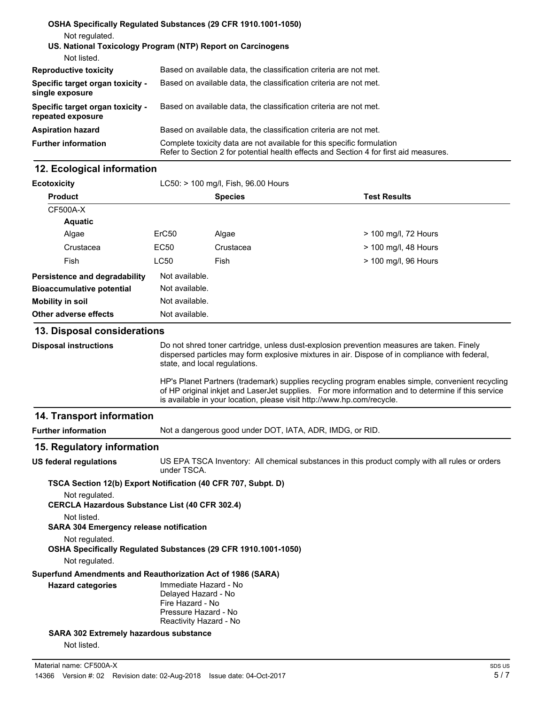| Not regulated.                                        | OSHA Specifically Regulated Substances (29 CFR 1910.1001-1050)                                                                                                  |  |  |
|-------------------------------------------------------|-----------------------------------------------------------------------------------------------------------------------------------------------------------------|--|--|
| Not listed.                                           | US. National Toxicology Program (NTP) Report on Carcinogens                                                                                                     |  |  |
| <b>Reproductive toxicity</b>                          | Based on available data, the classification criteria are not met.                                                                                               |  |  |
| Specific target organ toxicity -<br>single exposure   | Based on available data, the classification criteria are not met.                                                                                               |  |  |
| Specific target organ toxicity -<br>repeated exposure | Based on available data, the classification criteria are not met.                                                                                               |  |  |
| <b>Aspiration hazard</b>                              | Based on available data, the classification criteria are not met.                                                                                               |  |  |
| <b>Further information</b>                            | Complete toxicity data are not available for this specific formulation<br>Refer to Section 2 for potential health effects and Section 4 for first aid measures. |  |  |

### **12. Ecological information**

| <b>Ecotoxicity</b>                                                                                                             |                   | LC50: > 100 mg/l, Fish, 96.00 Hours |                      |  |
|--------------------------------------------------------------------------------------------------------------------------------|-------------------|-------------------------------------|----------------------|--|
| <b>Product</b>                                                                                                                 |                   | <b>Species</b>                      | <b>Test Results</b>  |  |
| <b>CF500A-X</b>                                                                                                                |                   |                                     |                      |  |
| <b>Aquatic</b>                                                                                                                 |                   |                                     |                      |  |
| Algae                                                                                                                          | ErC <sub>50</sub> | Algae                               | > 100 mg/l, 72 Hours |  |
| Crustacea                                                                                                                      | EC50              | Crustacea                           | > 100 mg/l, 48 Hours |  |
| Fish                                                                                                                           | <b>LC50</b>       | Fish                                | > 100 mg/l, 96 Hours |  |
| Persistence and degradability                                                                                                  | Not available.    |                                     |                      |  |
| <b>Bioaccumulative potential</b>                                                                                               | Not available.    |                                     |                      |  |
| <b>Mobility in soil</b>                                                                                                        | Not available.    |                                     |                      |  |
| Other adverse effects                                                                                                          | Not available.    |                                     |                      |  |
| $\sim$<br>the contract of the contract of the contract of the contract of the contract of the contract of the contract of<br>. |                   |                                     |                      |  |

#### **13. Disposal considerations**

**Disposal instructions**

Do not shred toner cartridge, unless dust-explosion prevention measures are taken. Finely dispersed particles may form explosive mixtures in air. Dispose of in compliance with federal, state, and local regulations.

HP's Planet Partners (trademark) supplies recycling program enables simple, convenient recycling of HP original inkjet and LaserJet supplies. For more information and to determine if this service is available in your location, please visit http://www.hp.com/recycle.

### **14. Transport information**

**Further information** Not a dangerous good under DOT, IATA, ADR, IMDG, or RID.

#### **15. Regulatory information**

**US federal regulations**

US EPA TSCA Inventory: All chemical substances in this product comply with all rules or orders under TSCA.

**TSCA Section 12(b) Export Notification (40 CFR 707, Subpt. D)**

Not regulated.

**CERCLA Hazardous Substance List (40 CFR 302.4)**

Not listed.

**SARA 304 Emergency release notification**

Not regulated.

**OSHA Specifically Regulated Substances (29 CFR 1910.1001-1050)**

Not regulated.

**Superfund Amendments and Reauthorization Act of 1986 (SARA)**

| <b>Hazard categories</b> |
|--------------------------|
|--------------------------|

Delayed Hazard - No Fire Hazard - No Pressure Hazard - No Reactivity Hazard - No

Immediate Hazard - No

**SARA 302 Extremely hazardous substance**

Not listed.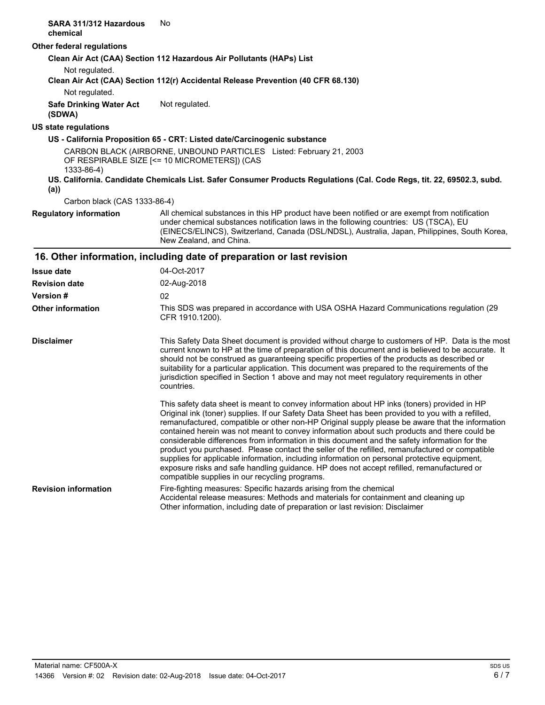| SARA 311/312 Hazardous<br>chemical       | No.                                                                                                                                                                                                                                                                                                                                                                                                                                                                                                                                                                                                                                                                                                                                                                                                                                                 |
|------------------------------------------|-----------------------------------------------------------------------------------------------------------------------------------------------------------------------------------------------------------------------------------------------------------------------------------------------------------------------------------------------------------------------------------------------------------------------------------------------------------------------------------------------------------------------------------------------------------------------------------------------------------------------------------------------------------------------------------------------------------------------------------------------------------------------------------------------------------------------------------------------------|
| Other federal regulations                |                                                                                                                                                                                                                                                                                                                                                                                                                                                                                                                                                                                                                                                                                                                                                                                                                                                     |
|                                          | Clean Air Act (CAA) Section 112 Hazardous Air Pollutants (HAPs) List                                                                                                                                                                                                                                                                                                                                                                                                                                                                                                                                                                                                                                                                                                                                                                                |
| Not regulated.<br>Not regulated.         | Clean Air Act (CAA) Section 112(r) Accidental Release Prevention (40 CFR 68.130)                                                                                                                                                                                                                                                                                                                                                                                                                                                                                                                                                                                                                                                                                                                                                                    |
| <b>Safe Drinking Water Act</b><br>(SDWA) | Not regulated.                                                                                                                                                                                                                                                                                                                                                                                                                                                                                                                                                                                                                                                                                                                                                                                                                                      |
| <b>US state regulations</b>              |                                                                                                                                                                                                                                                                                                                                                                                                                                                                                                                                                                                                                                                                                                                                                                                                                                                     |
|                                          | US - California Proposition 65 - CRT: Listed date/Carcinogenic substance                                                                                                                                                                                                                                                                                                                                                                                                                                                                                                                                                                                                                                                                                                                                                                            |
| 1333-86-4)                               | CARBON BLACK (AIRBORNE, UNBOUND PARTICLES Listed: February 21, 2003<br>OF RESPIRABLE SIZE [<= 10 MICROMETERS]) (CAS                                                                                                                                                                                                                                                                                                                                                                                                                                                                                                                                                                                                                                                                                                                                 |
| (a)                                      | US. California. Candidate Chemicals List. Safer Consumer Products Regulations (Cal. Code Regs, tit. 22, 69502.3, subd.                                                                                                                                                                                                                                                                                                                                                                                                                                                                                                                                                                                                                                                                                                                              |
| Carbon black (CAS 1333-86-4)             |                                                                                                                                                                                                                                                                                                                                                                                                                                                                                                                                                                                                                                                                                                                                                                                                                                                     |
| <b>Regulatory information</b>            | All chemical substances in this HP product have been notified or are exempt from notification<br>under chemical substances notification laws in the following countries: US (TSCA), EU<br>(EINECS/ELINCS), Switzerland, Canada (DSL/NDSL), Australia, Japan, Philippines, South Korea,<br>New Zealand, and China.                                                                                                                                                                                                                                                                                                                                                                                                                                                                                                                                   |
|                                          | 16. Other information, including date of preparation or last revision                                                                                                                                                                                                                                                                                                                                                                                                                                                                                                                                                                                                                                                                                                                                                                               |
| <b>Issue date</b>                        | 04-Oct-2017                                                                                                                                                                                                                                                                                                                                                                                                                                                                                                                                                                                                                                                                                                                                                                                                                                         |
| <b>Revision date</b>                     | 02-Aug-2018                                                                                                                                                                                                                                                                                                                                                                                                                                                                                                                                                                                                                                                                                                                                                                                                                                         |
| Version #                                | 02                                                                                                                                                                                                                                                                                                                                                                                                                                                                                                                                                                                                                                                                                                                                                                                                                                                  |
| <b>Other information</b>                 | This SDS was prepared in accordance with USA OSHA Hazard Communications regulation (29<br>CFR 1910.1200).                                                                                                                                                                                                                                                                                                                                                                                                                                                                                                                                                                                                                                                                                                                                           |
| <b>Disclaimer</b>                        | This Safety Data Sheet document is provided without charge to customers of HP. Data is the most<br>current known to HP at the time of preparation of this document and is believed to be accurate. It<br>should not be construed as guaranteeing specific properties of the products as described or<br>suitability for a particular application. This document was prepared to the requirements of the<br>jurisdiction specified in Section 1 above and may not meet regulatory requirements in other<br>countries.                                                                                                                                                                                                                                                                                                                                |
|                                          | This safety data sheet is meant to convey information about HP inks (toners) provided in HP<br>Original ink (toner) supplies. If our Safety Data Sheet has been provided to you with a refilled<br>remanufactured, compatible or other non-HP Original supply please be aware that the information<br>contained herein was not meant to convey information about such products and there could be<br>considerable differences from information in this document and the safety information for the<br>product you purchased. Please contact the seller of the refilled, remanufactured or compatible<br>supplies for applicable information, including information on personal protective equipment,<br>exposure risks and safe handling guidance. HP does not accept refilled, remanufactured or<br>compatible supplies in our recycling programs. |
| <b>Revision information</b>              | Fire-fighting measures: Specific hazards arising from the chemical<br>Accidental release measures: Methods and materials for containment and cleaning up<br>Other information, including date of preparation or last revision: Disclaimer                                                                                                                                                                                                                                                                                                                                                                                                                                                                                                                                                                                                           |